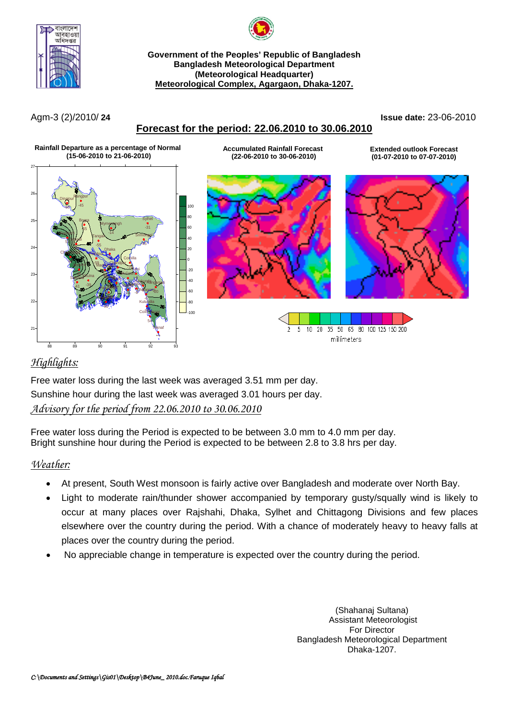



**Government of the Peoples' Republic of Bangladesh Bangladesh Meteorological Department (Meteorological Headquarter) Meteorological Complex, Agargaon, Dhaka-1207.**

## **Forecast for the period: 22.06.2010 to 30.06.2010**

Agm-3 (2)/2010/ **24 Issue date:** 23-06-2010



## *Highlights:*

Free water loss during the last week was averaged 3.51 mm per day. Sunshine hour during the last week was averaged 3.01 hours per day. *Advisory for the period from 22.06.2010 to 30.06.2010*

Free water loss during the Period is expected to be between 3.0 mm to 4.0 mm per day. Bright sunshine hour during the Period is expected to be between 2.8 to 3.8 hrs per day.

#### *Weather:*

- At present, South West monsoon is fairly active over Bangladesh and moderate over North Bay.
- Light to moderate rain/thunder shower accompanied by temporary gusty/squally wind is likely to occur at many places over Rajshahi, Dhaka, Sylhet and Chittagong Divisions and few places elsewhere over the country during the period. With a chance of moderately heavy to heavy falls at places over the country during the period.
- No appreciable change in temperature is expected over the country during the period.

(Shahanaj Sultana) Assistant Meteorologist For Director Bangladesh Meteorological Department Dhaka-1207.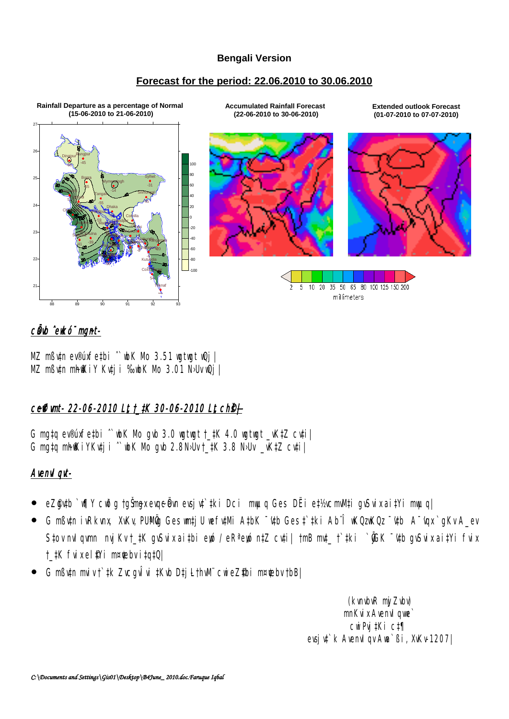#### **Bengali Version**

#### **Forecast for the period: 22.06.2010 to 30.06.2010**



## cünb ^ewkó¨ mgnt-

MZ mßv‡n ev®úxfe‡bi ^`wbK Mo 3.51 wgtwgt wQj | MZ mßv‡n mhfKiY Kv‡ji ‰vbK Mo 3.01 N›Uv wQj |

# ceffimt- 22-06-2010 Lt t\_tK 30-06-2010 Lt ch<sup>e+</sup>

G mg‡q ev®úxfe‡bi ˆ`wbK Mo gvb 3.0 wgtwgt †\_‡K 4.0 wgtwgt \_vK‡Z cv‡i| G mgtq mh $\mathbb K$ iYKutji ^`wbK Mo qub 2.8N>Uv  $\pm$ tK 3.8 N>Uv  $\pm$ vK $\pm$ Z cuti $\pm$ 

#### Avenvl gyt-

- eZ@ytb `w¶Y cwðg †gŠmex evgeå vn evsjv‡`tki Dci mwµq Ges DËi et½vcmwMti gvSvix aitYi mwµq|
- G mßv‡n ivRkvnx, XvKv, PUMÖg Ges wm‡jU wefv‡Mi A‡bK ¯v‡b Ges ‡`‡ki Ab¨Î wKQzwKQz ¯v‡b A¯vgx `qKv A\_ev S‡ov nvl qwmn nvj Kv †\_‡K qvSvix ai‡bi eyó / eR<sup>a</sup> eyó n‡Z cv‡i| †mB mvt\_ †`‡ki ` $\tilde{y}$ GK <sup>-</sup>'v‡b qvSvix ai‡Yi fvix †\_‡K fvix el *¶*Yi m¤¢ebv i‡q‡Q|
- G mßv‡n mviv †`‡k ZvcgvÎvi ‡Kvb D‡j-L†hvM¨ cwieZ©‡bi m¤¢vebv †bB|

 (kvnvbvR myjZvbv) mnKvix Avenvl qwe` cwiPvj‡Ki c‡¶ evsjv‡`k AvenvIqv Awa`ßi, XvKv-1207|